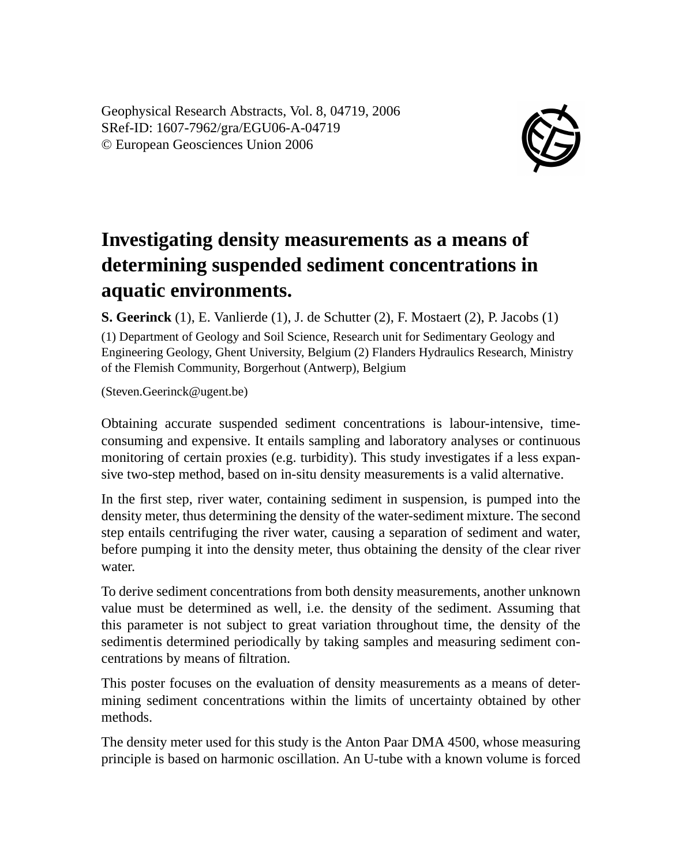Geophysical Research Abstracts, Vol. 8, 04719, 2006 SRef-ID: 1607-7962/gra/EGU06-A-04719 © European Geosciences Union 2006



## **Investigating density measurements as a means of determining suspended sediment concentrations in aquatic environments.**

**S. Geerinck** (1), E. Vanlierde (1), J. de Schutter (2), F. Mostaert (2), P. Jacobs (1)

(1) Department of Geology and Soil Science, Research unit for Sedimentary Geology and Engineering Geology, Ghent University, Belgium (2) Flanders Hydraulics Research, Ministry of the Flemish Community, Borgerhout (Antwerp), Belgium

(Steven.Geerinck@ugent.be)

Obtaining accurate suspended sediment concentrations is labour-intensive, timeconsuming and expensive. It entails sampling and laboratory analyses or continuous monitoring of certain proxies (e.g. turbidity). This study investigates if a less expansive two-step method, based on in-situ density measurements is a valid alternative.

In the first step, river water, containing sediment in suspension, is pumped into the density meter, thus determining the density of the water-sediment mixture. The second step entails centrifuging the river water, causing a separation of sediment and water, before pumping it into the density meter, thus obtaining the density of the clear river water.

To derive sediment concentrations from both density measurements, another unknown value must be determined as well, i.e. the density of the sediment. Assuming that this parameter is not subject to great variation throughout time, the density of the sedimentis determined periodically by taking samples and measuring sediment concentrations by means of filtration.

This poster focuses on the evaluation of density measurements as a means of determining sediment concentrations within the limits of uncertainty obtained by other methods.

The density meter used for this study is the Anton Paar DMA 4500, whose measuring principle is based on harmonic oscillation. An U-tube with a known volume is forced